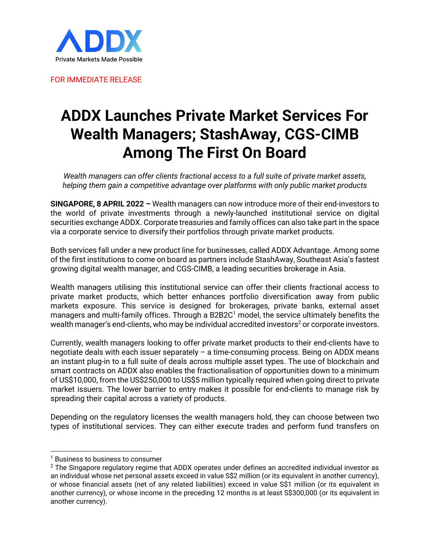

FOR IMMEDIATE RELEASE

## **ADDX Launches Private Market Services For Wealth Managers; StashAway, CGS-CIMB Among The First On Board**

*Wealth managers can offer clients fractional access to a full suite of private market assets, helping them gain a competitive advantage over platforms with only public market products*

**SINGAPORE, 8 APRIL 2022 –** Wealth managers can now introduce more of their end-investors to the world of private investments through a newly-launched institutional service on digital securities exchange ADDX. Corporate treasuries and family offices can also take part in the space via a corporate service to diversify their portfolios through private market products.

Both services fall under a new product line for businesses, called ADDX Advantage. Among some of the first institutions to come on board as partners include StashAway, Southeast Asia's fastest growing digital wealth manager, and CGS-CIMB, a leading securities brokerage in Asia.

Wealth managers utilising this institutional service can offer their clients fractional access to private market products, which better enhances portfolio diversification away from public markets exposure. This service is designed for brokerages, private banks, external asset managers and multi-family offices. Through a B2B2 $C<sup>1</sup>$  model, the service ultimately benefits the wealth manager's end-clients, who may be individual accredited investors<sup>2</sup> or corporate investors.

Currently, wealth managers looking to offer private market products to their end-clients have to negotiate deals with each issuer separately – a time-consuming process. Being on ADDX means an instant plug-in to a full suite of deals across multiple asset types. The use of blockchain and smart contracts on ADDX also enables the fractionalisation of opportunities down to a minimum of US\$10,000, from the US\$250,000 to US\$5 million typically required when going direct to private market issuers. The lower barrier to entry makes it possible for end-clients to manage risk by spreading their capital across a variety of products.

Depending on the regulatory licenses the wealth managers hold, they can choose between two types of institutional services. They can either execute trades and perform fund transfers on

<sup>&</sup>lt;sup>1</sup> Business to business to consumer

 $2$  The Singapore regulatory regime that ADDX operates under defines an accredited individual investor as an individual whose net personal assets exceed in value S\$2 million (or its equivalent in another currency), or whose financial assets (net of any related liabilities) exceed in value S\$1 million (or its equivalent in another currency), or whose income in the preceding 12 months is at least S\$300,000 (or its equivalent in another currency).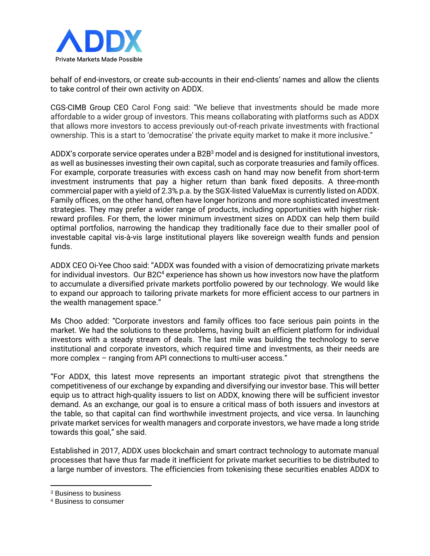

behalf of end-investors, or create sub-accounts in their end-clients' names and allow the clients to take control of their own activity on ADDX.

CGS-CIMB Group CEO Carol Fong said: "We believe that investments should be made more affordable to a wider group of investors. This means collaborating with platforms such as ADDX that allows more investors to access previously out-of-reach private investments with fractional ownership. This is a start to 'democratise' the private equity market to make it more inclusive."

ADDX's corporate service operates under a B2B<sup>3</sup> model and is designed for institutional investors, as well as businesses investing their own capital, such as corporate treasuries and family offices. For example, corporate treasuries with excess cash on hand may now benefit from short-term investment instruments that pay a higher return than bank fixed deposits. A three-month commercial paper with a yield of 2.3% p.a. by the SGX-listed ValueMax is currently listed on ADDX. Family offices, on the other hand, often have longer horizons and more sophisticated investment strategies. They may prefer a wider range of products, including opportunities with higher riskreward profiles. For them, the lower minimum investment sizes on ADDX can help them build optimal portfolios, narrowing the handicap they traditionally face due to their smaller pool of investable capital vis-à-vis large institutional players like sovereign wealth funds and pension funds.

ADDX CEO Oi-Yee Choo said: "ADDX was founded with a vision of democratizing private markets for individual investors. Our B2C <sup>4</sup> experience has shown us how investors now have the platform to accumulate a diversified private markets portfolio powered by our technology. We would like to expand our approach to tailoring private markets for more efficient access to our partners in the wealth management space."

Ms Choo added: "Corporate investors and family offices too face serious pain points in the market. We had the solutions to these problems, having built an efficient platform for individual investors with a steady stream of deals. The last mile was building the technology to serve institutional and corporate investors, which required time and investments, as their needs are more complex – ranging from API connections to multi-user access."

"For ADDX, this latest move represents an important strategic pivot that strengthens the competitiveness of our exchange by expanding and diversifying our investor base. This will better equip us to attract high-quality issuers to list on ADDX, knowing there will be sufficient investor demand. As an exchange, our goal is to ensure a critical mass of both issuers and investors at the table, so that capital can find worthwhile investment projects, and vice versa. In launching private market services for wealth managers and corporate investors, we have made a long stride towards this goal," she said.

Established in 2017, ADDX uses blockchain and smart contract technology to automate manual processes that have thus far made it inefficient for private market securities to be distributed to a large number of investors. The efficiencies from tokenising these securities enables ADDX to

<sup>3</sup> Business to business

<sup>4</sup> Business to consumer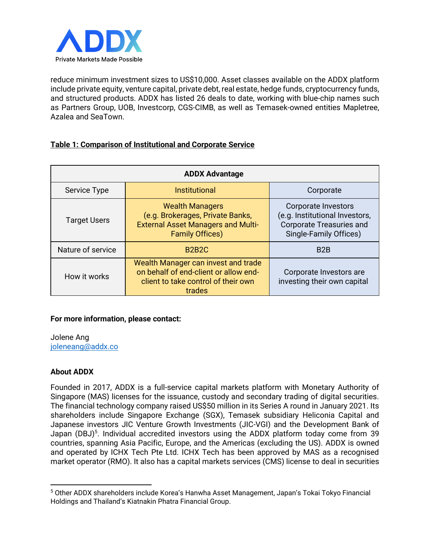

reduce minimum investment sizes to US\$10,000. Asset classes available on the ADDX platform include private equity, venture capital, private debt, real estate, hedge funds, cryptocurrency funds, and structured products. ADDX has listed 26 deals to date, working with blue-chip names such as Partners Group, UOB, Investcorp, CGS-CIMB, as well as Temasek-owned entities Mapletree, Azalea and SeaTown.

## **Table 1: Comparison of Institutional and Corporate Service**

| <b>ADDX Advantage</b> |                                                                                                                                   |                                                                                                                    |
|-----------------------|-----------------------------------------------------------------------------------------------------------------------------------|--------------------------------------------------------------------------------------------------------------------|
| Service Type          | <b>Institutional</b>                                                                                                              | Corporate                                                                                                          |
| <b>Target Users</b>   | <b>Wealth Managers</b><br>(e.g. Brokerages, Private Banks,<br><b>External Asset Managers and Multi-</b><br><b>Family Offices)</b> | Corporate Investors<br>(e.g. Institutional Investors,<br><b>Corporate Treasuries and</b><br>Single-Family Offices) |
| Nature of service     | <b>B2B2C</b>                                                                                                                      | B <sub>2</sub> B                                                                                                   |
| How it works          | Wealth Manager can invest and trade<br>on behalf of end-client or allow end-<br>client to take control of their own<br>trades     | Corporate Investors are<br>investing their own capital                                                             |

## **For more information, please contact:**

Jolene Ang [joleneang@addx.co](mailto:joleneang@addx.co)

## **About ADDX**

Founded in 2017, ADDX is a full-service capital markets platform with Monetary Authority of Singapore (MAS) licenses for the issuance, custody and secondary trading of digital securities. The financial technology company raised US\$50 million in its Series A round in January 2021. Its shareholders include Singapore Exchange (SGX), Temasek subsidiary Heliconia Capital and Japanese investors JIC Venture Growth Investments (JIC-VGI) and the Development Bank of Japan (DBJ)<sup>5</sup>. Individual accredited investors using the ADDX platform today come from 39 countries, spanning Asia Pacific, Europe, and the Americas (excluding the US). ADDX is owned and operated by ICHX Tech Pte Ltd. ICHX Tech has been approved by MAS as a recognised market operator (RMO). It also has a capital markets services (CMS) license to deal in securities

<sup>5</sup> Other ADDX shareholders include Korea's Hanwha Asset Management, Japan's Tokai Tokyo Financial Holdings and Thailand's Kiatnakin Phatra Financial Group.